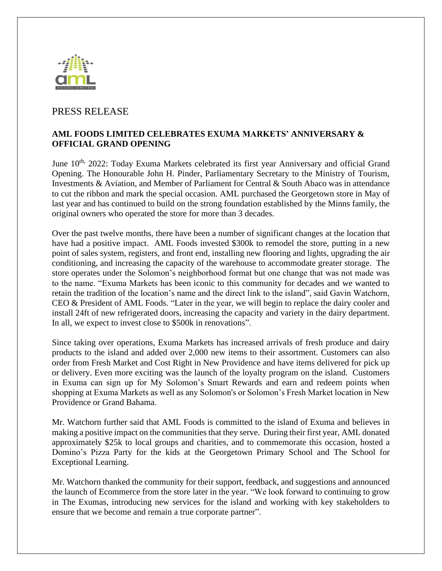

## PRESS RELEASE

## **AML FOODS LIMITED CELEBRATES EXUMA MARKETS' ANNIVERSARY & OFFICIAL GRAND OPENING**

June 10<sup>th,</sup> 2022: Today Exuma Markets celebrated its first year Anniversary and official Grand Opening. The Honourable John H. Pinder, Parliamentary Secretary to the Ministry of Tourism, Investments & Aviation, and Member of Parliament for Central & South Abaco was in attendance to cut the ribbon and mark the special occasion. AML purchased the Georgetown store in May of last year and has continued to build on the strong foundation established by the Minns family, the original owners who operated the store for more than 3 decades.

Over the past twelve months, there have been a number of significant changes at the location that have had a positive impact. AML Foods invested \$300k to remodel the store, putting in a new point of sales system, registers, and front end, installing new flooring and lights, upgrading the air conditioning, and increasing the capacity of the warehouse to accommodate greater storage. The store operates under the Solomon's neighborhood format but one change that was not made was to the name. "Exuma Markets has been iconic to this community for decades and we wanted to retain the tradition of the location's name and the direct link to the island", said Gavin Watchorn, CEO & President of AML Foods. "Later in the year, we will begin to replace the dairy cooler and install 24ft of new refrigerated doors, increasing the capacity and variety in the dairy department. In all, we expect to invest close to \$500k in renovations".

Since taking over operations, Exuma Markets has increased arrivals of fresh produce and dairy products to the island and added over 2,000 new items to their assortment. Customers can also order from Fresh Market and Cost Right in New Providence and have items delivered for pick up or delivery. Even more exciting was the launch of the loyalty program on the island. Customers in Exuma can sign up for My Solomon's Smart Rewards and earn and redeem points when shopping at Exuma Markets as well as any Solomon's or Solomon's Fresh Market location in New Providence or Grand Bahama.

Mr. Watchorn further said that AML Foods is committed to the island of Exuma and believes in making a positive impact on the communities that they serve. During their first year, AML donated approximately \$25k to local groups and charities, and to commemorate this occasion, hosted a Domino's Pizza Party for the kids at the Georgetown Primary School and The School for Exceptional Learning.

Mr. Watchorn thanked the community for their support, feedback, and suggestions and announced the launch of Ecommerce from the store later in the year. "We look forward to continuing to grow in The Exumas, introducing new services for the island and working with key stakeholders to ensure that we become and remain a true corporate partner".